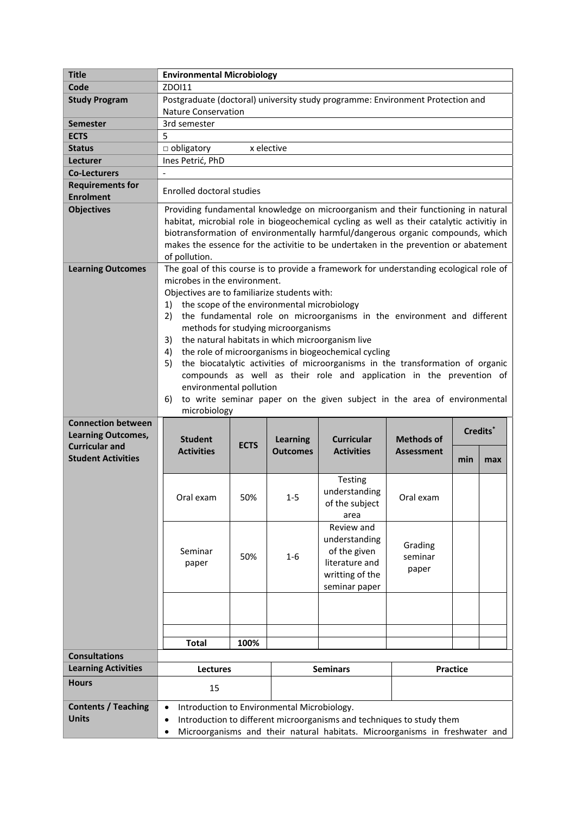| <b>Title</b>                                                                                                 | <b>Environmental Microbiology</b>                                                                                                                                                                                                                                                                                                                                                                                                                                                                                                                                                                                                                                                                                                                                        |             |                                    |                                                                                                   |                                        |     |                             |  |
|--------------------------------------------------------------------------------------------------------------|--------------------------------------------------------------------------------------------------------------------------------------------------------------------------------------------------------------------------------------------------------------------------------------------------------------------------------------------------------------------------------------------------------------------------------------------------------------------------------------------------------------------------------------------------------------------------------------------------------------------------------------------------------------------------------------------------------------------------------------------------------------------------|-------------|------------------------------------|---------------------------------------------------------------------------------------------------|----------------------------------------|-----|-----------------------------|--|
| Code                                                                                                         | ZDOI11                                                                                                                                                                                                                                                                                                                                                                                                                                                                                                                                                                                                                                                                                                                                                                   |             |                                    |                                                                                                   |                                        |     |                             |  |
| <b>Study Program</b>                                                                                         | Postgraduate (doctoral) university study programme: Environment Protection and                                                                                                                                                                                                                                                                                                                                                                                                                                                                                                                                                                                                                                                                                           |             |                                    |                                                                                                   |                                        |     |                             |  |
|                                                                                                              | <b>Nature Conservation</b>                                                                                                                                                                                                                                                                                                                                                                                                                                                                                                                                                                                                                                                                                                                                               |             |                                    |                                                                                                   |                                        |     |                             |  |
| <b>Semester</b>                                                                                              | 3rd semester                                                                                                                                                                                                                                                                                                                                                                                                                                                                                                                                                                                                                                                                                                                                                             |             |                                    |                                                                                                   |                                        |     |                             |  |
| <b>ECTS</b>                                                                                                  | 5                                                                                                                                                                                                                                                                                                                                                                                                                                                                                                                                                                                                                                                                                                                                                                        |             |                                    |                                                                                                   |                                        |     |                             |  |
| <b>Status</b>                                                                                                | $\Box$ obligatory<br>x elective                                                                                                                                                                                                                                                                                                                                                                                                                                                                                                                                                                                                                                                                                                                                          |             |                                    |                                                                                                   |                                        |     |                             |  |
| <b>Lecturer</b>                                                                                              | Ines Petrić, PhD                                                                                                                                                                                                                                                                                                                                                                                                                                                                                                                                                                                                                                                                                                                                                         |             |                                    |                                                                                                   |                                        |     |                             |  |
| <b>Co-Lecturers</b>                                                                                          |                                                                                                                                                                                                                                                                                                                                                                                                                                                                                                                                                                                                                                                                                                                                                                          |             |                                    |                                                                                                   |                                        |     |                             |  |
| <b>Requirements for</b><br><b>Enrolment</b>                                                                  | Enrolled doctoral studies                                                                                                                                                                                                                                                                                                                                                                                                                                                                                                                                                                                                                                                                                                                                                |             |                                    |                                                                                                   |                                        |     |                             |  |
| <b>Objectives</b>                                                                                            | Providing fundamental knowledge on microorganism and their functioning in natural<br>habitat, microbial role in biogeochemical cycling as well as their catalytic activitiy in<br>biotransformation of environmentally harmful/dangerous organic compounds, which<br>makes the essence for the activitie to be undertaken in the prevention or abatement                                                                                                                                                                                                                                                                                                                                                                                                                 |             |                                    |                                                                                                   |                                        |     |                             |  |
|                                                                                                              | of pollution.                                                                                                                                                                                                                                                                                                                                                                                                                                                                                                                                                                                                                                                                                                                                                            |             |                                    |                                                                                                   |                                        |     |                             |  |
| <b>Learning Outcomes</b>                                                                                     | The goal of this course is to provide a framework for understanding ecological role of<br>microbes in the environment.<br>Objectives are to familiarize students with:<br>the scope of the environmental microbiology<br>1)<br>the fundamental role on microorganisms in the environment and different<br>2)<br>methods for studying microorganisms<br>the natural habitats in which microorganism live<br>3)<br>the role of microorganisms in biogeochemical cycling<br>4)<br>the biocatalytic activities of microorganisms in the transformation of organic<br>5)<br>compounds as well as their role and application in the prevention of<br>environmental pollution<br>to write seminar paper on the given subject in the area of environmental<br>6)<br>microbiology |             |                                    |                                                                                                   |                                        |     |                             |  |
| <b>Connection between</b><br><b>Learning Outcomes,</b><br><b>Curricular and</b><br><b>Student Activities</b> | <b>Student</b><br><b>Activities</b>                                                                                                                                                                                                                                                                                                                                                                                                                                                                                                                                                                                                                                                                                                                                      | <b>ECTS</b> | <b>Learning</b><br><b>Outcomes</b> | <b>Curricular</b><br><b>Activities</b>                                                            | <b>Methods of</b><br><b>Assessment</b> | min | Credits <sup>*</sup><br>max |  |
|                                                                                                              | Oral exam                                                                                                                                                                                                                                                                                                                                                                                                                                                                                                                                                                                                                                                                                                                                                                | 50%         | $1 - 5$                            | Testing<br>understanding<br>of the subject<br>area                                                | Oral exam                              |     |                             |  |
|                                                                                                              | Seminar<br>paper                                                                                                                                                                                                                                                                                                                                                                                                                                                                                                                                                                                                                                                                                                                                                         | 50%         | $1 - 6$                            | Review and<br>understanding<br>of the given<br>literature and<br>writting of the<br>seminar paper | Grading<br>seminar<br>paper            |     |                             |  |
|                                                                                                              |                                                                                                                                                                                                                                                                                                                                                                                                                                                                                                                                                                                                                                                                                                                                                                          |             |                                    |                                                                                                   |                                        |     |                             |  |
|                                                                                                              | <b>Total</b>                                                                                                                                                                                                                                                                                                                                                                                                                                                                                                                                                                                                                                                                                                                                                             | 100%        |                                    |                                                                                                   |                                        |     |                             |  |
| <b>Consultations</b>                                                                                         |                                                                                                                                                                                                                                                                                                                                                                                                                                                                                                                                                                                                                                                                                                                                                                          |             |                                    |                                                                                                   |                                        |     |                             |  |
| <b>Learning Activities</b>                                                                                   | <b>Lectures</b>                                                                                                                                                                                                                                                                                                                                                                                                                                                                                                                                                                                                                                                                                                                                                          |             | <b>Seminars</b>                    |                                                                                                   | <b>Practice</b>                        |     |                             |  |
| <b>Hours</b>                                                                                                 | 15                                                                                                                                                                                                                                                                                                                                                                                                                                                                                                                                                                                                                                                                                                                                                                       |             |                                    |                                                                                                   |                                        |     |                             |  |
| <b>Contents / Teaching</b><br><b>Units</b>                                                                   | Introduction to Environmental Microbiology.<br>Introduction to different microorganisms and techniques to study them<br>$\bullet$<br>Microorganisms and their natural habitats. Microorganisms in freshwater and<br>٠                                                                                                                                                                                                                                                                                                                                                                                                                                                                                                                                                    |             |                                    |                                                                                                   |                                        |     |                             |  |